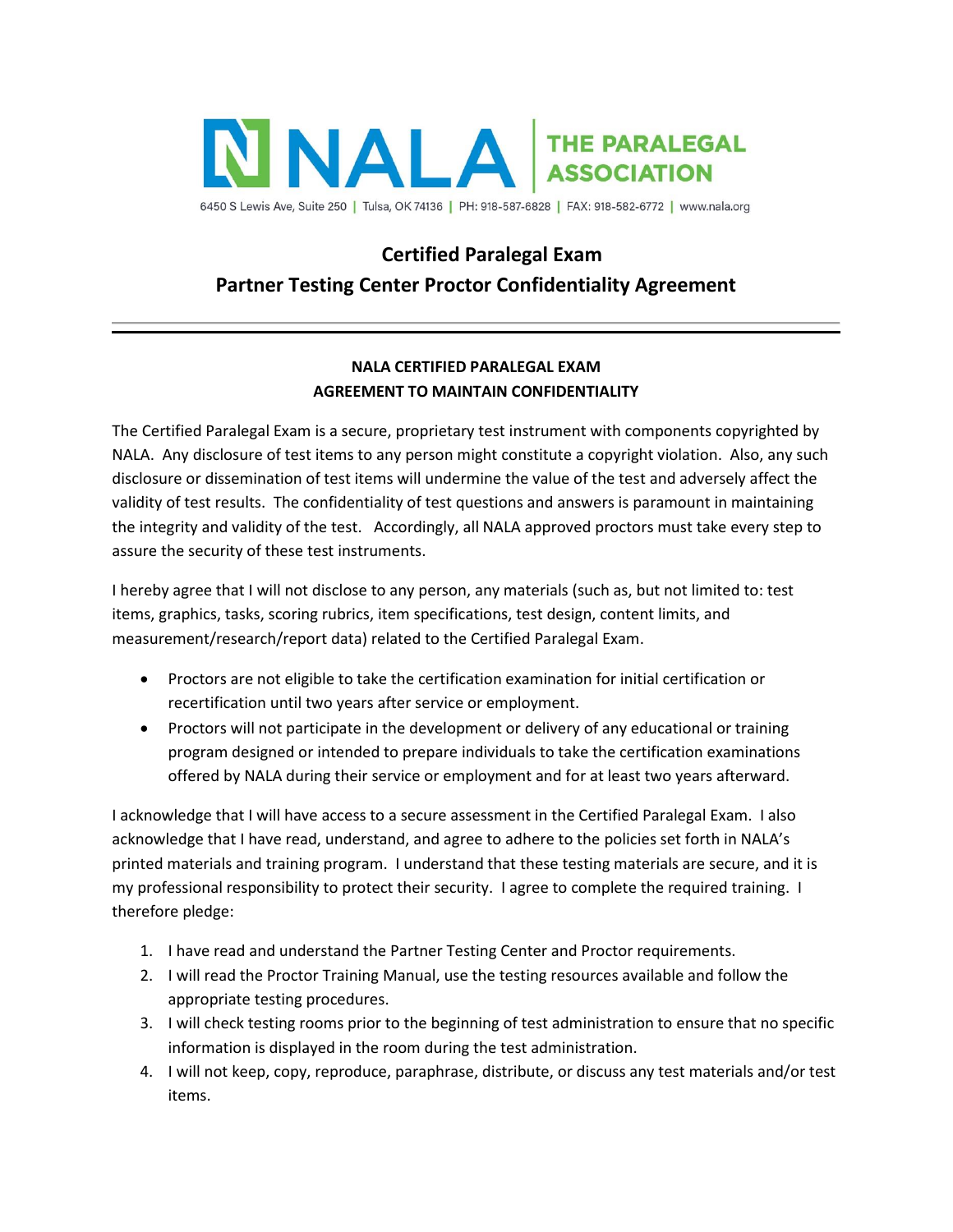

6450 S Lewis Ave, Suite 250 | Tulsa, OK 74136 | PH: 918-587-6828 | FAX: 918-582-6772 | www.nala.org

## **Certified Paralegal Exam**

## **Partner Testing Center Proctor Confidentiality Agreement**

## **NALA CERTIFIED PARALEGAL EXAM AGREEMENT TO MAINTAIN CONFIDENTIALITY**

The Certified Paralegal Exam is a secure, proprietary test instrument with components copyrighted by NALA. Any disclosure of test items to any person might constitute a copyright violation. Also, any such disclosure or dissemination of test items will undermine the value of the test and adversely affect the validity of test results. The confidentiality of test questions and answers is paramount in maintaining the integrity and validity of the test. Accordingly, all NALA approved proctors must take every step to assure the security of these test instruments.

I hereby agree that I will not disclose to any person, any materials (such as, but not limited to: test items, graphics, tasks, scoring rubrics, item specifications, test design, content limits, and measurement/research/report data) related to the Certified Paralegal Exam.

- Proctors are not eligible to take the certification examination for initial certification or recertification until two years after service or employment.
- Proctors will not participate in the development or delivery of any educational or training program designed or intended to prepare individuals to take the certification examinations offered by NALA during their service or employment and for at least two years afterward.

I acknowledge that I will have access to a secure assessment in the Certified Paralegal Exam. I also acknowledge that I have read, understand, and agree to adhere to the policies set forth in NALA's printed materials and training program. I understand that these testing materials are secure, and it is my professional responsibility to protect their security. I agree to complete the required training. I therefore pledge:

- 1. I have read and understand the Partner Testing Center and Proctor requirements.
- 2. I will read the Proctor Training Manual, use the testing resources available and follow the appropriate testing procedures.
- 3. I will check testing rooms prior to the beginning of test administration to ensure that no specific information is displayed in the room during the test administration.
- 4. I will not keep, copy, reproduce, paraphrase, distribute, or discuss any test materials and/or test items.